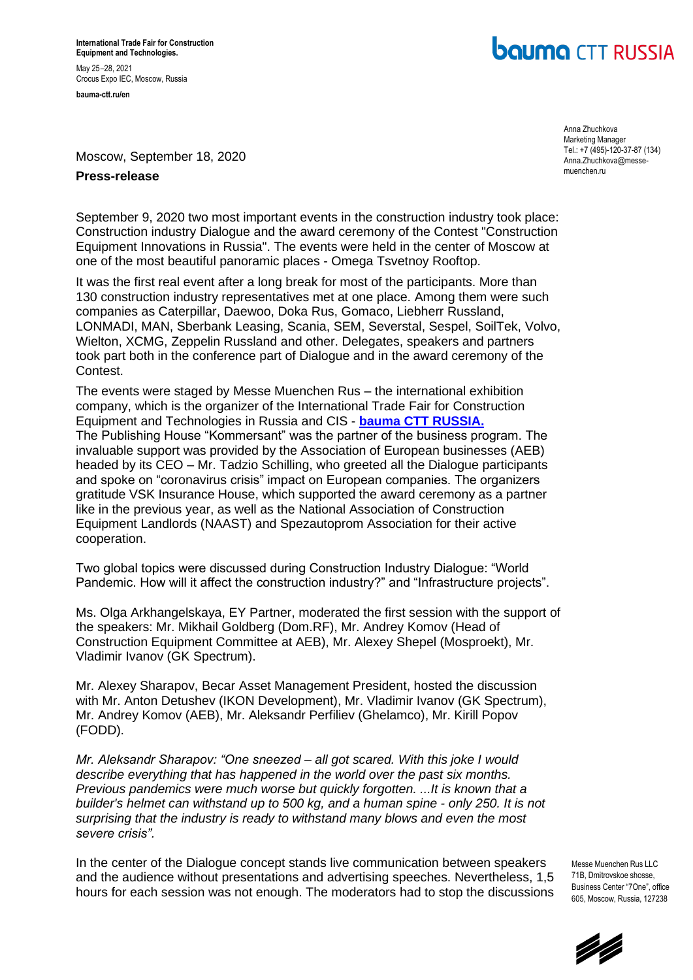**International Trade Fair for Construction Equipment and Technologies.** May 25–28, 2021 Crocus Expo IEC, Moscow, Russia **bauma-ctt.ru/en** 

## **bauma** CTT RUSSIA

Moscow, September 18, 2020

## **Press-release**

September 9, 2020 two most important events in the construction industry took place: Construction industry Dialogue and the award ceremony of the Contest "Construction Equipment Innovations in Russia". The events were held in the center of Moscow at one of the most beautiful panoramic places - Omega Tsvetnoy Rooftop.

It was the first real event after a long break for most of the participants. More than 130 construction industry representatives met at one place. Among them were such companies as Caterpillar, Daewoo, Doka Rus, Gomaco, Liebherr Russland, LONMADI, MAN, Sberbank Leasing, Scania, SEM, Severstal, Sespel, SoilTek, Volvo, Wielton, XCMG, Zeppelin Russland and other. Delegates, speakers and partners took part both in the conference part of Dialogue and in the award ceremony of the Contest.

The events were staged by Messe Muenchen Rus – the international exhibition company, which is the organizer of the International Trade Fair for Construction Equipment and Technologies in Russia and CIS - **[bauma CTT RUSSIA.](http://www.bauma-ctt.ru/en/)** The Publishing House "Kommersant" was the partner of the business program. The invaluable support was provided by the Association of European businesses (AEB) headed by its CEO – Mr. Tadzio Schilling, who greeted all the Dialogue participants and spoke on "coronavirus crisis" impact on European companies. The organizers gratitude VSK Insurance House, which supported the award ceremony as a partner like in the previous year, as well as the National Association of Construction Equipment Landlords (NAAST) and Spezautoprom Association for their active cooperation.

Two global topics were discussed during Construction Industry Dialogue: "World Pandemic. How will it affect the construction industry?" and "Infrastructure projects".

Ms. Olga Arkhangelskaya, EY Partner, moderated the first session with the support of the speakers: Mr. Mikhail Goldberg (Dom.RF), Mr. Andrey Komov (Head of Construction Equipment Committee at AEB), Mr. Alexey Shepel (Mosproekt), Mr. Vladimir Ivanov (GK Spectrum).

Mr. Alexey Sharapov, Becar Asset Management President, hosted the discussion with Mr. Anton Detushev (IKON Development), Mr. Vladimir Ivanov (GK Spectrum), Mr. Andrey Komov (AEB), Mr. Aleksandr Perfiliev (Ghelamco), Mr. Kirill Popov (FODD).

*Mr. Aleksandr Sharapov: "One sneezed – all got scared. With this joke I would describe everything that has happened in the world over the past six months. Previous pandemics were much worse but quickly forgotten. ...It is known that a builder's helmet can withstand up to 500 kg, and a human spine - only 250. It is not surprising that the industry is ready to withstand many blows and even the most severe crisis".* 

In the center of the Dialogue concept stands live communication between speakers and the audience without presentations and advertising speeches. Nevertheless, 1,5 hours for each session was not enough. The moderators had to stop the discussions

Messe Muenchen Rus LLC 71B, Dmitrovskoe shosse, Business Center "7One" office 605, Moscow, Russia, 127238



Anna Zhuchkova Marketing Manager Tel.: +7 (495)-120-37-87 (134) [Anna.Zhuchkova@messe](mailto:Anna.Zhuchkova@messe-muenchen.ru)[muenchen.ru](mailto:Anna.Zhuchkova@messe-muenchen.ru)